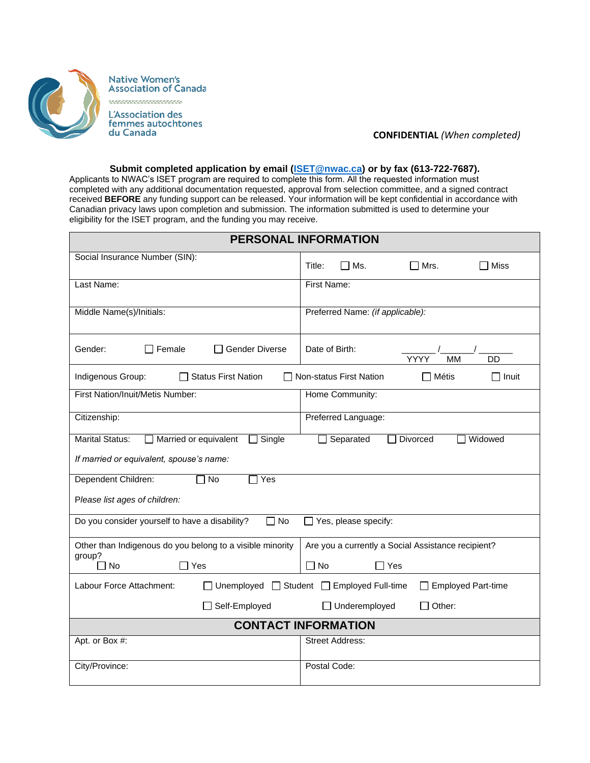

**Native Women's<br>Association of Canada** <u> TETETETETETETETE</u> L'Association des femmes autochtones

du Canada

## **CONFIDENTIAL** *(When completed)*

## **Submit completed application by email [\(ISET@nwac.ca\)](mailto:ISET@nwac.ca) or by fax (613-722-7687).**

Applicants to NWAC's ISET program are required to complete this form. All the requested information must completed with any additional documentation requested, approval from selection committee, and a signed contract received **BEFORE** any funding support can be released. Your information will be kept confidential in accordance with Canadian privacy laws upon completion and submission. The information submitted is used to determine your eligibility for the ISET program, and the funding you may receive.

| <b>PERSONAL INFORMATION</b>                                                                         |                                                                        |  |  |  |
|-----------------------------------------------------------------------------------------------------|------------------------------------------------------------------------|--|--|--|
| Social Insurance Number (SIN):                                                                      | Miss<br>Title:<br>厂 Ms.<br>$\Box$ Mrs.                                 |  |  |  |
| Last Name:                                                                                          | First Name:                                                            |  |  |  |
| Middle Name(s)/Initials:                                                                            | Preferred Name: (if applicable):                                       |  |  |  |
| $\Box$ Female<br>Gender:<br><b>Gender Diverse</b>                                                   | Date of Birth:<br><b>MM</b><br>YYYY<br>DD                              |  |  |  |
| Indigenous Group:<br><b>Status First Nation</b><br>Non-status First Nation<br>$\Box$ Métis<br>Inuit |                                                                        |  |  |  |
| First Nation/Inuit/Metis Number:                                                                    | Home Community:                                                        |  |  |  |
| Citizenship:                                                                                        | Preferred Language:                                                    |  |  |  |
| <b>Marital Status:</b><br>Married or equivalent<br>$\square$ Single                                 | <b>Divorced</b><br>Widowed<br>Separated<br>×.                          |  |  |  |
| If married or equivalent, spouse's name:                                                            |                                                                        |  |  |  |
| Dependent Children:<br>$\sqcap$ No<br>Yes                                                           |                                                                        |  |  |  |
| Please list ages of children:                                                                       |                                                                        |  |  |  |
| Do you consider yourself to have a disability?<br><b>No</b>                                         | Yes, please specify:                                                   |  |  |  |
| Other than Indigenous do you belong to a visible minority<br>group?                                 | Are you a currently a Social Assistance recipient?                     |  |  |  |
| $\Box$ No<br>$\sqsupset$ Yes                                                                        | $\Box$ No<br>$\Box$ Yes                                                |  |  |  |
| Labour Force Attachment:                                                                            | Unemployed □ Student □ Employed Full-time<br><b>Employed Part-time</b> |  |  |  |
| Self-Employed                                                                                       | □ Underemployed<br>Other:                                              |  |  |  |
| <b>CONTACT INFORMATION</b>                                                                          |                                                                        |  |  |  |
| Apt. or Box #:                                                                                      | <b>Street Address:</b>                                                 |  |  |  |
| City/Province:                                                                                      | Postal Code:                                                           |  |  |  |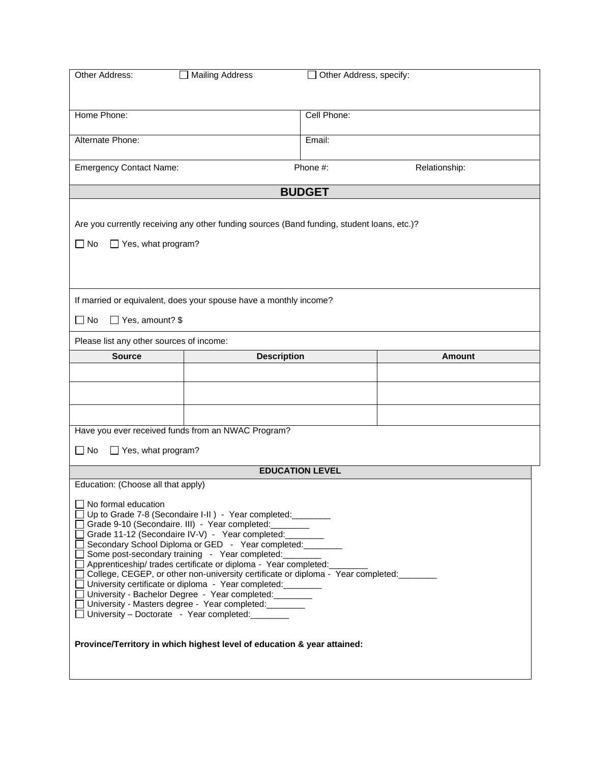| Other Address:                                                                                                           | <b>Mailing Address</b>                                                                     | Other Address, specify: |               |  |
|--------------------------------------------------------------------------------------------------------------------------|--------------------------------------------------------------------------------------------|-------------------------|---------------|--|
|                                                                                                                          |                                                                                            |                         |               |  |
|                                                                                                                          |                                                                                            |                         |               |  |
| Home Phone:                                                                                                              |                                                                                            | Cell Phone:             |               |  |
| Alternate Phone:                                                                                                         |                                                                                            | Email:                  |               |  |
|                                                                                                                          |                                                                                            |                         |               |  |
| <b>Emergency Contact Name:</b>                                                                                           |                                                                                            | Phone #:                | Relationship: |  |
|                                                                                                                          |                                                                                            | <b>BUDGET</b>           |               |  |
|                                                                                                                          |                                                                                            |                         |               |  |
|                                                                                                                          | Are you currently receiving any other funding sources (Band funding, student loans, etc.)? |                         |               |  |
|                                                                                                                          |                                                                                            |                         |               |  |
| $\square$ No<br>$\Box$ Yes, what program?                                                                                |                                                                                            |                         |               |  |
|                                                                                                                          |                                                                                            |                         |               |  |
|                                                                                                                          |                                                                                            |                         |               |  |
|                                                                                                                          | If married or equivalent, does your spouse have a monthly income?                          |                         |               |  |
| □ Yes, amount? \$<br>$\Box$ No                                                                                           |                                                                                            |                         |               |  |
|                                                                                                                          |                                                                                            |                         |               |  |
| Please list any other sources of income:                                                                                 |                                                                                            |                         |               |  |
| <b>Source</b>                                                                                                            | <b>Description</b>                                                                         |                         | <b>Amount</b> |  |
|                                                                                                                          |                                                                                            |                         |               |  |
|                                                                                                                          |                                                                                            |                         |               |  |
|                                                                                                                          |                                                                                            |                         |               |  |
|                                                                                                                          | Have you ever received funds from an NWAC Program?                                         |                         |               |  |
|                                                                                                                          |                                                                                            |                         |               |  |
| $\Box$ Yes, what program?<br>$\Box$ No                                                                                   |                                                                                            |                         |               |  |
|                                                                                                                          |                                                                                            | <b>EDUCATION LEVEL</b>  |               |  |
| Education: (Choose all that apply)                                                                                       |                                                                                            |                         |               |  |
| $\Box$ No formal education                                                                                               |                                                                                            |                         |               |  |
| □ Up to Grade 7-8 (Secondaire I-II) - Year completed: ________<br>Grade 9-10 (Secondaire. III) - Year completed: _______ |                                                                                            |                         |               |  |
| Grade 11-12 (Secondaire IV-V) - Year completed: _______                                                                  |                                                                                            |                         |               |  |
| Secondary School Diploma or GED - Year completed: ______                                                                 |                                                                                            |                         |               |  |
| Some post-secondary training - Year completed:<br>Apprenticeship/ trades certificate or diploma - Year completed:        |                                                                                            |                         |               |  |
| □ College, CEGEP, or other non-university certificate or diploma - Year completed:                                       |                                                                                            |                         |               |  |
| □ University certificate or diploma - Year completed:<br>□ University - Bachelor Degree - Year completed:                |                                                                                            |                         |               |  |
| □ University - Masters degree - Year completed:                                                                          |                                                                                            |                         |               |  |
| □ University - Doctorate - Year completed:                                                                               |                                                                                            |                         |               |  |
|                                                                                                                          |                                                                                            |                         |               |  |
| Province/Territory in which highest level of education & year attained:                                                  |                                                                                            |                         |               |  |
|                                                                                                                          |                                                                                            |                         |               |  |
|                                                                                                                          |                                                                                            |                         |               |  |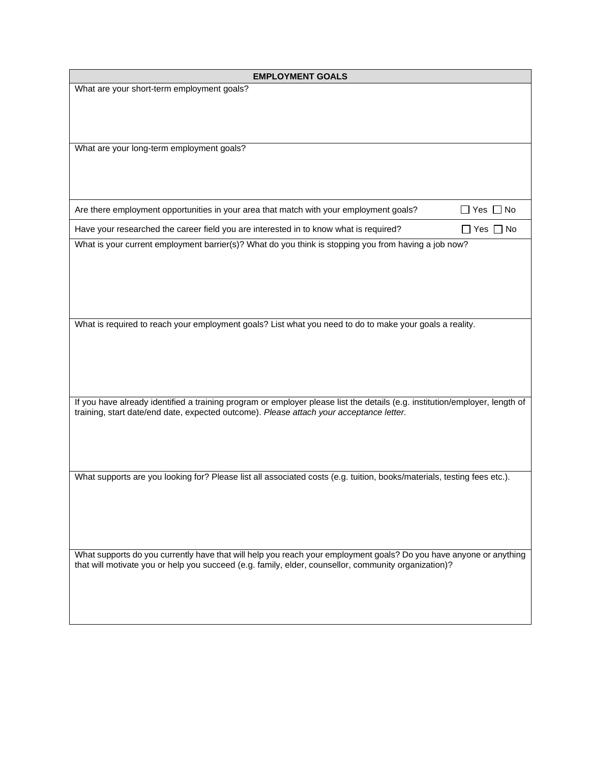| <b>EMPLOYMENT GOALS</b>                                                                                                                                                                                                |                            |  |
|------------------------------------------------------------------------------------------------------------------------------------------------------------------------------------------------------------------------|----------------------------|--|
| What are your short-term employment goals?                                                                                                                                                                             |                            |  |
|                                                                                                                                                                                                                        |                            |  |
|                                                                                                                                                                                                                        |                            |  |
|                                                                                                                                                                                                                        |                            |  |
| What are your long-term employment goals?                                                                                                                                                                              |                            |  |
|                                                                                                                                                                                                                        |                            |  |
|                                                                                                                                                                                                                        |                            |  |
|                                                                                                                                                                                                                        |                            |  |
| Are there employment opportunities in your area that match with your employment goals?                                                                                                                                 | Yes $\Box$ No              |  |
| Have your researched the career field you are interested in to know what is required?                                                                                                                                  | $\square$ Yes $\square$ No |  |
| What is your current employment barrier(s)? What do you think is stopping you from having a job now?                                                                                                                   |                            |  |
|                                                                                                                                                                                                                        |                            |  |
|                                                                                                                                                                                                                        |                            |  |
|                                                                                                                                                                                                                        |                            |  |
|                                                                                                                                                                                                                        |                            |  |
| What is required to reach your employment goals? List what you need to do to make your goals a reality.                                                                                                                |                            |  |
|                                                                                                                                                                                                                        |                            |  |
|                                                                                                                                                                                                                        |                            |  |
|                                                                                                                                                                                                                        |                            |  |
|                                                                                                                                                                                                                        |                            |  |
|                                                                                                                                                                                                                        |                            |  |
| If you have already identified a training program or employer please list the details (e.g. institution/employer, length of<br>training, start date/end date, expected outcome). Please attach your acceptance letter. |                            |  |
|                                                                                                                                                                                                                        |                            |  |
|                                                                                                                                                                                                                        |                            |  |
|                                                                                                                                                                                                                        |                            |  |
|                                                                                                                                                                                                                        |                            |  |
| What supports are you looking for? Please list all associated costs (e.g. tuition, books/materials, testing fees etc.).                                                                                                |                            |  |
|                                                                                                                                                                                                                        |                            |  |
|                                                                                                                                                                                                                        |                            |  |
|                                                                                                                                                                                                                        |                            |  |
|                                                                                                                                                                                                                        |                            |  |
| What supports do you currently have that will help you reach your employment goals? Do you have anyone or anything                                                                                                     |                            |  |
| that will motivate you or help you succeed (e.g. family, elder, counsellor, community organization)?                                                                                                                   |                            |  |
|                                                                                                                                                                                                                        |                            |  |
|                                                                                                                                                                                                                        |                            |  |
|                                                                                                                                                                                                                        |                            |  |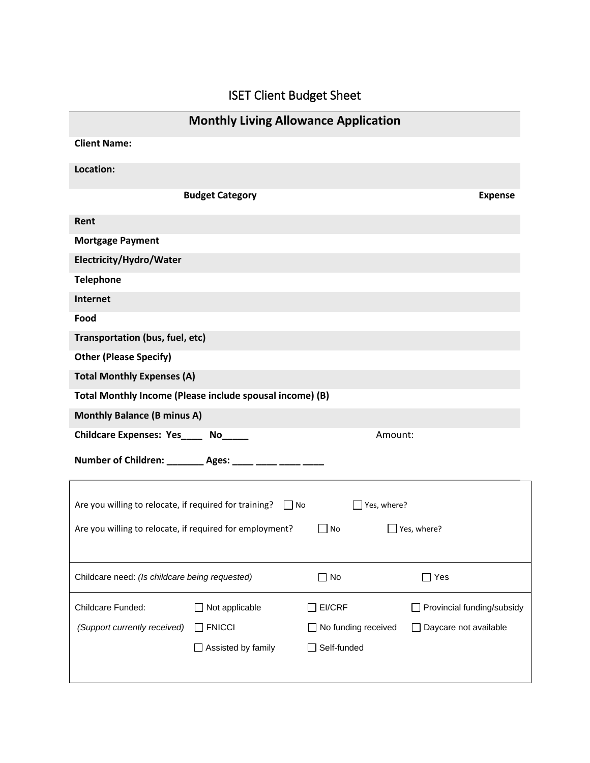## ISET Client Budget Sheet

| <b>Monthly Living Allowance Application</b>                                                                      |                |  |  |  |  |
|------------------------------------------------------------------------------------------------------------------|----------------|--|--|--|--|
| <b>Client Name:</b>                                                                                              |                |  |  |  |  |
| Location:                                                                                                        |                |  |  |  |  |
| <b>Budget Category</b>                                                                                           | <b>Expense</b> |  |  |  |  |
|                                                                                                                  |                |  |  |  |  |
| Rent                                                                                                             |                |  |  |  |  |
| <b>Mortgage Payment</b>                                                                                          |                |  |  |  |  |
| Electricity/Hydro/Water                                                                                          |                |  |  |  |  |
| <b>Telephone</b>                                                                                                 |                |  |  |  |  |
| <b>Internet</b>                                                                                                  |                |  |  |  |  |
| Food                                                                                                             |                |  |  |  |  |
| Transportation (bus, fuel, etc)                                                                                  |                |  |  |  |  |
| <b>Other (Please Specify)</b>                                                                                    |                |  |  |  |  |
| <b>Total Monthly Expenses (A)</b>                                                                                |                |  |  |  |  |
| Total Monthly Income (Please include spousal income) (B)                                                         |                |  |  |  |  |
| <b>Monthly Balance (B minus A)</b>                                                                               |                |  |  |  |  |
| Childcare Expenses: Yes____ No_____<br>Amount:                                                                   |                |  |  |  |  |
| Number of Children: ________ Ages: ____ ____ ____ ____                                                           |                |  |  |  |  |
| Are you willing to relocate, if required for training? $\Box$ No<br>$\exists$ Yes, where?                        |                |  |  |  |  |
| Are you willing to relocate, if required for employment?<br>$\Box$ Yes, where?<br>No<br>$\overline{\phantom{a}}$ |                |  |  |  |  |
| $\Box$ No<br>$\Box$ Yes<br>Childcare need: (Is childcare being requested)                                        |                |  |  |  |  |
| Childcare Funded:<br>$\Box$ Not applicable<br>EI/CRF<br>Provincial funding/subsidy                               |                |  |  |  |  |
| $\Box$ FNICCI<br>Daycare not available<br>(Support currently received)<br>No funding received                    |                |  |  |  |  |
| Self-funded<br>$\Box$ Assisted by family                                                                         |                |  |  |  |  |
|                                                                                                                  |                |  |  |  |  |